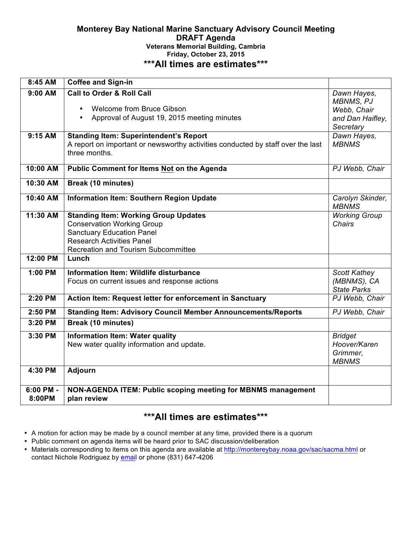## **Monterey Bay National Marine Sanctuary Advisory Council Meeting DRAFT Agenda Veterans Memorial Building, Cambria Friday, October 23, 2015 \*\*\*All times are estimates\*\*\***

| 8:45 AM   | <b>Coffee and Sign-in</b>                                                                                                        |                                  |
|-----------|----------------------------------------------------------------------------------------------------------------------------------|----------------------------------|
| $9:00$ AM | <b>Call to Order &amp; Roll Call</b>                                                                                             | Dawn Hayes,<br><b>MBNMS, PJ</b>  |
|           | <b>Welcome from Bruce Gibson</b><br>$\bullet$                                                                                    | Webb, Chair                      |
|           | Approval of August 19, 2015 meeting minutes<br>$\bullet$                                                                         | and Dan Haifley,                 |
|           |                                                                                                                                  | Secretary                        |
| $9:15$ AM | <b>Standing Item: Superintendent's Report</b><br>A report on important or newsworthy activities conducted by staff over the last | Dawn Hayes,<br><b>MBNMS</b>      |
|           | three months.                                                                                                                    |                                  |
| 10:00 AM  | <b>Public Comment for Items Not on the Agenda</b>                                                                                | PJ Webb, Chair                   |
| 10:30 AM  | <b>Break (10 minutes)</b>                                                                                                        |                                  |
| 10:40 AM  | Information Item: Southern Region Update                                                                                         | Carolyn Skinder,<br><b>MBNMS</b> |
| 11:30 AM  | <b>Standing Item: Working Group Updates</b>                                                                                      | <b>Working Group</b>             |
|           | <b>Conservation Working Group</b>                                                                                                | <b>Chairs</b>                    |
|           | <b>Sanctuary Education Panel</b>                                                                                                 |                                  |
|           | <b>Research Activities Panel</b>                                                                                                 |                                  |
| 12:00 PM  | <b>Recreation and Tourism Subcommittee</b>                                                                                       |                                  |
|           | Lunch                                                                                                                            |                                  |
| 1:00 PM   | Information Item: Wildlife disturbance                                                                                           | <b>Scott Kathey</b>              |
|           | Focus on current issues and response actions                                                                                     | (MBNMS), CA                      |
|           |                                                                                                                                  | <b>State Parks</b>               |
| 2:20 PM   | Action Item: Request letter for enforcement in Sanctuary                                                                         | PJ Webb, Chair                   |
| 2:50 PM   | <b>Standing Item: Advisory Council Member Announcements/Reports</b>                                                              | PJ Webb, Chair                   |
| 3:20 PM   | <b>Break (10 minutes)</b>                                                                                                        |                                  |
| 3:30 PM   | <b>Information Item: Water quality</b>                                                                                           | <b>Bridget</b>                   |
|           | New water quality information and update.                                                                                        | Hoover/Karen                     |
|           |                                                                                                                                  | Grimmer,<br><b>MBNMS</b>         |
| 4:30 PM   | Adjourn                                                                                                                          |                                  |
| 6:00 PM - | NON-AGENDA ITEM: Public scoping meeting for MBNMS management                                                                     |                                  |
| 8:00PM    | plan review                                                                                                                      |                                  |

# **\*\*\*All times are estimates\*\*\***

- A motion for action may be made by a council member at any time, provided there is a quorum
- Public comment on agenda items will be heard prior to SAC discussion/deliberation
- Materials corresponding to items on this agenda are available at http://montereybay.noaa.gov/sac/sacma.html or contact Nichole Rodriguez by email or phone (831) 647-4206